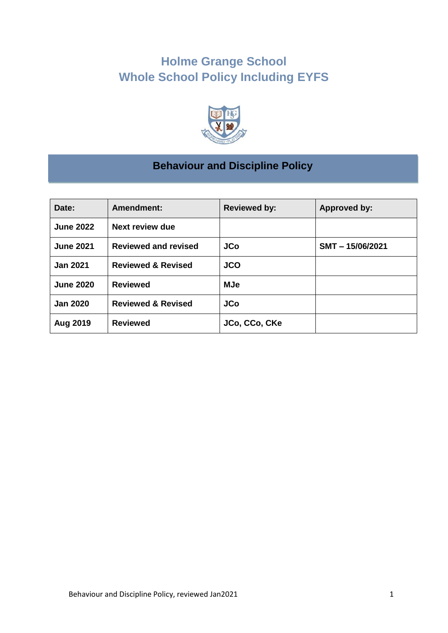# **Holme Grange School Whole School Policy Including EYFS**



# **Behaviour and Discipline Policy**

| Date:            | Amendment:                    | <b>Reviewed by:</b> | <b>Approved by:</b> |
|------------------|-------------------------------|---------------------|---------------------|
| <b>June 2022</b> | <b>Next review due</b>        |                     |                     |
| <b>June 2021</b> | <b>Reviewed and revised</b>   | <b>JCo</b>          | SMT-15/06/2021      |
| <b>Jan 2021</b>  | <b>Reviewed &amp; Revised</b> | <b>JCO</b>          |                     |
| <b>June 2020</b> | <b>Reviewed</b>               | <b>MJe</b>          |                     |
| <b>Jan 2020</b>  | <b>Reviewed &amp; Revised</b> | <b>JCo</b>          |                     |
| <b>Aug 2019</b>  | <b>Reviewed</b>               | JCo, CCo, CKe       |                     |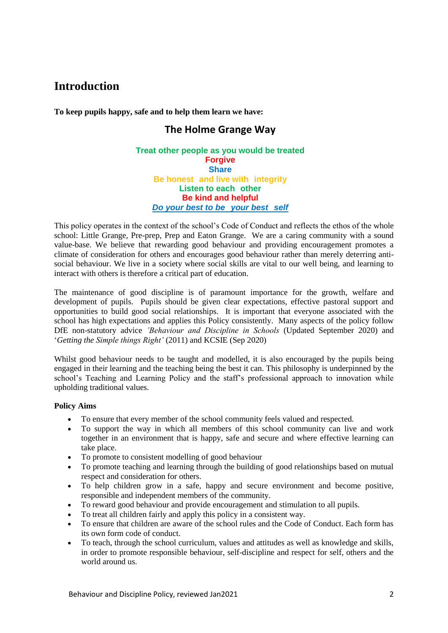## **Introduction**

**To keep pupils happy, safe and to help them learn we have:**

## **The Holme Grange Way**

### **Treat other people as you would be treated Forgive Share Be honest and live with integrity Listen to each other Be kind and helpful** *Do your best to be your best self*

This policy operates in the context of the school's Code of Conduct and reflects the ethos of the whole school: Little Grange, Pre-prep, Prep and Eaton Grange. We are a caring community with a sound value-base. We believe that rewarding good behaviour and providing encouragement promotes a climate of consideration for others and encourages good behaviour rather than merely deterring antisocial behaviour. We live in a society where social skills are vital to our well being, and learning to interact with others is therefore a critical part of education.

The maintenance of good discipline is of paramount importance for the growth, welfare and development of pupils. Pupils should be given clear expectations, effective pastoral support and opportunities to build good social relationships. It is important that everyone associated with the school has high expectations and applies this Policy consistently. Many aspects of the policy follow DfE non-statutory advice *'Behaviour and Discipline in Schools* (Updated September 2020) and '*Getting the Simple things Right'* (2011) and KCSIE (Sep 2020)

Whilst good behaviour needs to be taught and modelled, it is also encouraged by the pupils being engaged in their learning and the teaching being the best it can. This philosophy is underpinned by the school's Teaching and Learning Policy and the staff's professional approach to innovation while upholding traditional values.

### **Policy Aims**

- To ensure that every member of the school community feels valued and respected.
- To support the way in which all members of this school community can live and work together in an environment that is happy, safe and secure and where effective learning can take place.
- To promote to consistent modelling of good behaviour
- To promote teaching and learning through the building of good relationships based on mutual respect and consideration for others.
- To help children grow in a safe, happy and secure environment and become positive, responsible and independent members of the community.
- To reward good behaviour and provide encouragement and stimulation to all pupils.
- To treat all children fairly and apply this policy in a consistent way.
- To ensure that children are aware of the school rules and the Code of Conduct. Each form has its own form code of conduct.
- To teach, through the school curriculum, values and attitudes as well as knowledge and skills, in order to promote responsible behaviour, self-discipline and respect for self, others and the world around us.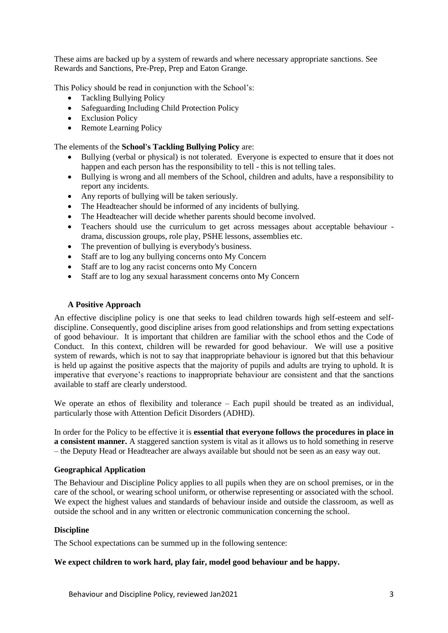These aims are backed up by a system of rewards and where necessary appropriate sanctions. See Rewards and Sanctions, Pre-Prep, Prep and Eaton Grange.

This Policy should be read in conjunction with the School's:

- Tackling Bullying Policy
- Safeguarding Including Child Protection Policy
- Exclusion Policy
- Remote Learning Policy

The elements of the **School's Tackling Bullying Policy** are:

- Bullying (verbal or physical) is not tolerated. Everyone is expected to ensure that it does not happen and each person has the responsibility to tell - this is not telling tales.
- Bullying is wrong and all members of the School, children and adults, have a responsibility to report any incidents.
- Any reports of bullying will be taken seriously.
- The Headteacher should be informed of any incidents of bullying.
- The Headteacher will decide whether parents should become involved.
- Teachers should use the curriculum to get across messages about acceptable behaviour drama, discussion groups, role play, PSHE lessons, assemblies etc.
- The prevention of bullying is everybody's business.
- Staff are to log any bullying concerns onto My Concern
- Staff are to log any racist concerns onto My Concern
- Staff are to log any sexual harassment concerns onto My Concern

### **A Positive Approach**

An effective discipline policy is one that seeks to lead children towards high self-esteem and selfdiscipline. Consequently, good discipline arises from good relationships and from setting expectations of good behaviour. It is important that children are familiar with the school ethos and the Code of Conduct. In this context, children will be rewarded for good behaviour. We will use a positive system of rewards, which is not to say that inappropriate behaviour is ignored but that this behaviour is held up against the positive aspects that the majority of pupils and adults are trying to uphold. It is imperative that everyone's reactions to inappropriate behaviour are consistent and that the sanctions available to staff are clearly understood.

We operate an ethos of flexibility and tolerance – Each pupil should be treated as an individual, particularly those with Attention Deficit Disorders (ADHD).

In order for the Policy to be effective it is **essential that everyone follows the procedures in place in a consistent manner.** A staggered sanction system is vital as it allows us to hold something in reserve – the Deputy Head or Headteacher are always available but should not be seen as an easy way out.

#### **Geographical Application**

The Behaviour and Discipline Policy applies to all pupils when they are on school premises, or in the care of the school, or wearing school uniform, or otherwise representing or associated with the school. We expect the highest values and standards of behaviour inside and outside the classroom, as well as outside the school and in any written or electronic communication concerning the school.

### **Discipline**

The School expectations can be summed up in the following sentence:

#### **We expect children to work hard, play fair, model good behaviour and be happy.**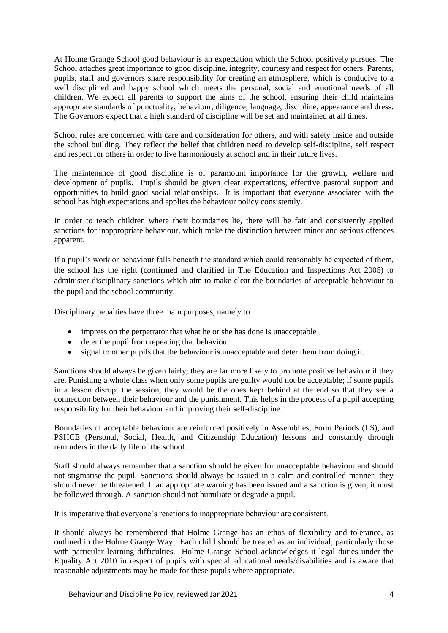At Holme Grange School good behaviour is an expectation which the School positively pursues. The School attaches great importance to good discipline, integrity, courtesy and respect for others. Parents, pupils, staff and governors share responsibility for creating an atmosphere, which is conducive to a well disciplined and happy school which meets the personal, social and emotional needs of all children. We expect all parents to support the aims of the school, ensuring their child maintains appropriate standards of punctuality, behaviour, diligence, language, discipline, appearance and dress. The Governors expect that a high standard of discipline will be set and maintained at all times.

School rules are concerned with care and consideration for others, and with safety inside and outside the school building. They reflect the belief that children need to develop self-discipline, self respect and respect for others in order to live harmoniously at school and in their future lives.

The maintenance of good discipline is of paramount importance for the growth, welfare and development of pupils. Pupils should be given clear expectations, effective pastoral support and opportunities to build good social relationships. It is important that everyone associated with the school has high expectations and applies the behaviour policy consistently.

In order to teach children where their boundaries lie, there will be fair and consistently applied sanctions for inappropriate behaviour, which make the distinction between minor and serious offences apparent.

If a pupil's work or behaviour falls beneath the standard which could reasonably be expected of them, the school has the right (confirmed and clarified in The Education and Inspections Act 2006) to administer disciplinary sanctions which aim to make clear the boundaries of acceptable behaviour to the pupil and the school community.

Disciplinary penalties have three main purposes, namely to:

- impress on the perpetrator that what he or she has done is unacceptable
- deter the pupil from repeating that behaviour
- signal to other pupils that the behaviour is unacceptable and deter them from doing it.

Sanctions should always be given fairly; they are far more likely to promote positive behaviour if they are. Punishing a whole class when only some pupils are guilty would not be acceptable; if some pupils in a lesson disrupt the session, they would be the ones kept behind at the end so that they see a connection between their behaviour and the punishment. This helps in the process of a pupil accepting responsibility for their behaviour and improving their self-discipline.

Boundaries of acceptable behaviour are reinforced positively in Assemblies, Form Periods (LS), and PSHCE (Personal, Social, Health, and Citizenship Education) lessons and constantly through reminders in the daily life of the school.

Staff should always remember that a sanction should be given for unacceptable behaviour and should not stigmatise the pupil. Sanctions should always be issued in a calm and controlled manner; they should never be threatened. If an appropriate warning has been issued and a sanction is given, it must be followed through. A sanction should not humiliate or degrade a pupil.

It is imperative that everyone's reactions to inappropriate behaviour are consistent.

It should always be remembered that Holme Grange has an ethos of flexibility and tolerance, as outlined in the Holme Grange Way. Each child should be treated as an individual, particularly those with particular learning difficulties. Holme Grange School acknowledges it legal duties under the Equality Act 2010 in respect of pupils with special educational needs/disabilities and is aware that reasonable adjustments may be made for these pupils where appropriate.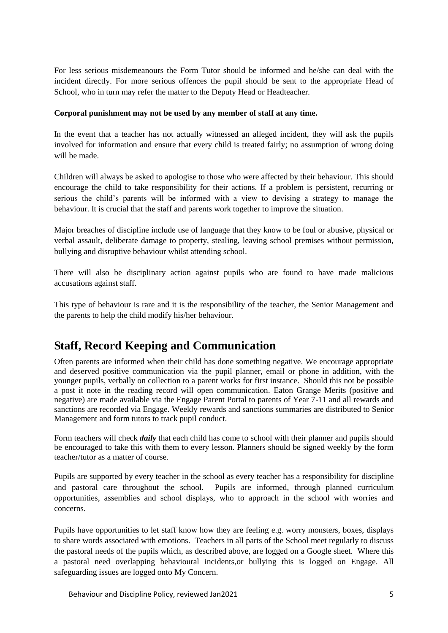For less serious misdemeanours the Form Tutor should be informed and he/she can deal with the incident directly. For more serious offences the pupil should be sent to the appropriate Head of School, who in turn may refer the matter to the Deputy Head or Headteacher.

### **Corporal punishment may not be used by any member of staff at any time.**

In the event that a teacher has not actually witnessed an alleged incident, they will ask the pupils involved for information and ensure that every child is treated fairly; no assumption of wrong doing will be made.

Children will always be asked to apologise to those who were affected by their behaviour. This should encourage the child to take responsibility for their actions. If a problem is persistent, recurring or serious the child's parents will be informed with a view to devising a strategy to manage the behaviour. It is crucial that the staff and parents work together to improve the situation.

Major breaches of discipline include use of language that they know to be foul or abusive, physical or verbal assault, deliberate damage to property, stealing, leaving school premises without permission, bullying and disruptive behaviour whilst attending school.

There will also be disciplinary action against pupils who are found to have made malicious accusations against staff.

This type of behaviour is rare and it is the responsibility of the teacher, the Senior Management and the parents to help the child modify his/her behaviour.

## **Staff, Record Keeping and Communication**

Often parents are informed when their child has done something negative. We encourage appropriate and deserved positive communication via the pupil planner, email or phone in addition, with the younger pupils, verbally on collection to a parent works for first instance. Should this not be possible a post it note in the reading record will open communication. Eaton Grange Merits (positive and negative) are made available via the Engage Parent Portal to parents of Year 7-11 and all rewards and sanctions are recorded via Engage. Weekly rewards and sanctions summaries are distributed to Senior Management and form tutors to track pupil conduct.

Form teachers will check *daily* that each child has come to school with their planner and pupils should be encouraged to take this with them to every lesson. Planners should be signed weekly by the form teacher/tutor as a matter of course.

Pupils are supported by every teacher in the school as every teacher has a responsibility for discipline and pastoral care throughout the school. Pupils are informed, through planned curriculum opportunities, assemblies and school displays, who to approach in the school with worries and concerns.

Pupils have opportunities to let staff know how they are feeling e.g. worry monsters, boxes, displays to share words associated with emotions. Teachers in all parts of the School meet regularly to discuss the pastoral needs of the pupils which, as described above, are logged on a Google sheet. Where this a pastoral need overlapping behavioural incidents,or bullying this is logged on Engage. All safeguarding issues are logged onto My Concern.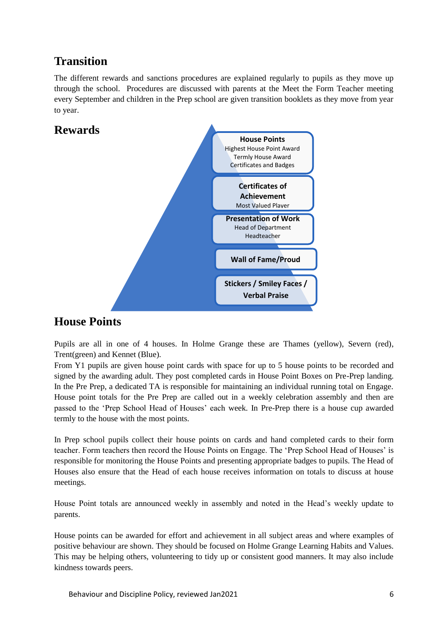## **Transition**

The different rewards and sanctions procedures are explained regularly to pupils as they move up through the school. Procedures are discussed with parents at the Meet the Form Teacher meeting every September and children in the Prep school are given transition booklets as they move from year to year.





## **House Points**

Pupils are all in one of 4 houses. In Holme Grange these are Thames (yellow), Severn (red), Trent(green) and Kennet (Blue).

From Y1 pupils are given house point cards with space for up to 5 house points to be recorded and signed by the awarding adult. They post completed cards in House Point Boxes on Pre-Prep landing. In the Pre Prep, a dedicated TA is responsible for maintaining an individual running total on Engage. House point totals for the Pre Prep are called out in a weekly celebration assembly and then are passed to the 'Prep School Head of Houses' each week. In Pre-Prep there is a house cup awarded termly to the house with the most points.

In Prep school pupils collect their house points on cards and hand completed cards to their form teacher. Form teachers then record the House Points on Engage. The 'Prep School Head of Houses' is responsible for monitoring the House Points and presenting appropriate badges to pupils. The Head of Houses also ensure that the Head of each house receives information on totals to discuss at house meetings.

House Point totals are announced weekly in assembly and noted in the Head's weekly update to parents.

House points can be awarded for effort and achievement in all subject areas and where examples of positive behaviour are shown. They should be focused on Holme Grange Learning Habits and Values. This may be helping others, volunteering to tidy up or consistent good manners. It may also include kindness towards peers.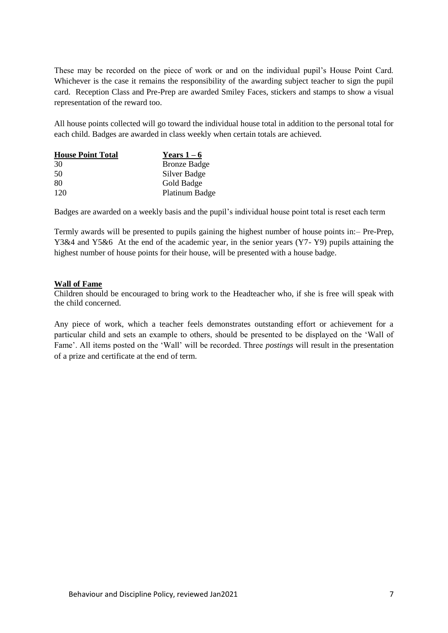These may be recorded on the piece of work or and on the individual pupil's House Point Card. Whichever is the case it remains the responsibility of the awarding subject teacher to sign the pupil card. Reception Class and Pre-Prep are awarded Smiley Faces, stickers and stamps to show a visual representation of the reward too.

All house points collected will go toward the individual house total in addition to the personal total for each child. Badges are awarded in class weekly when certain totals are achieved.

| <b>House Point Total</b> | Years $1-6$         |
|--------------------------|---------------------|
| 30                       | <b>Bronze Badge</b> |
| 50                       | Silver Badge        |
| 80                       | Gold Badge          |
| 120                      | Platinum Badge      |

Badges are awarded on a weekly basis and the pupil's individual house point total is reset each term

Termly awards will be presented to pupils gaining the highest number of house points in:– Pre-Prep, Y3&4 and Y5&6 At the end of the academic year, in the senior years (Y7- Y9) pupils attaining the highest number of house points for their house, will be presented with a house badge.

### **Wall of Fame**

Children should be encouraged to bring work to the Headteacher who, if she is free will speak with the child concerned.

Any piece of work, which a teacher feels demonstrates outstanding effort or achievement for a particular child and sets an example to others, should be presented to be displayed on the 'Wall of Fame'. All items posted on the 'Wall' will be recorded. Three *postings* will result in the presentation of a prize and certificate at the end of term.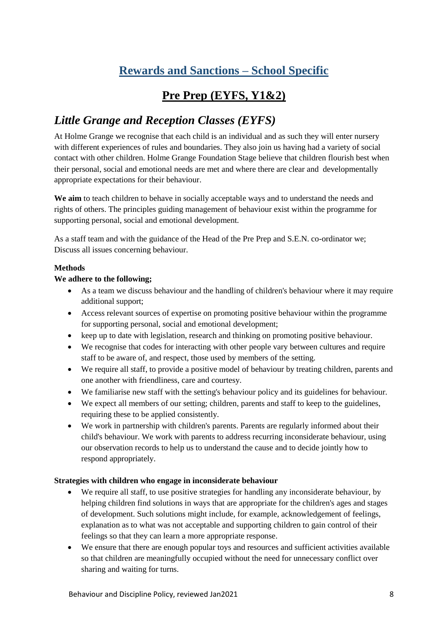# **Rewards and Sanctions – School Specific**

# **Pre Prep (EYFS, Y1&2)**

## *Little Grange and Reception Classes (EYFS)*

At Holme Grange we recognise that each child is an individual and as such they will enter nursery with different experiences of rules and boundaries. They also join us having had a variety of social contact with other children. Holme Grange Foundation Stage believe that children flourish best when their personal, social and emotional needs are met and where there are clear and developmentally appropriate expectations for their behaviour.

**We aim** to teach children to behave in socially acceptable ways and to understand the needs and rights of others. The principles guiding management of behaviour exist within the programme for supporting personal, social and emotional development.

As a staff team and with the guidance of the Head of the Pre Prep and S.E.N. co-ordinator we; Discuss all issues concerning behaviour.

### **Methods**

### **We adhere to the following;**

- As a team we discuss behaviour and the handling of children's behaviour where it may require additional support;
- Access relevant sources of expertise on promoting positive behaviour within the programme for supporting personal, social and emotional development;
- keep up to date with legislation, research and thinking on promoting positive behaviour.
- We recognise that codes for interacting with other people vary between cultures and require staff to be aware of, and respect, those used by members of the setting.
- We require all staff, to provide a positive model of behaviour by treating children, parents and one another with friendliness, care and courtesy.
- We familiarise new staff with the setting's behaviour policy and its guidelines for behaviour.
- We expect all members of our setting; children, parents and staff to keep to the guidelines, requiring these to be applied consistently.
- We work in partnership with children's parents. Parents are regularly informed about their child's behaviour. We work with parents to address recurring inconsiderate behaviour, using our observation records to help us to understand the cause and to decide jointly how to respond appropriately.

### **Strategies with children who engage in inconsiderate behaviour**

- We require all staff, to use positive strategies for handling any inconsiderate behaviour, by helping children find solutions in ways that are appropriate for the children's ages and stages of development. Such solutions might include, for example, acknowledgement of feelings, explanation as to what was not acceptable and supporting children to gain control of their feelings so that they can learn a more appropriate response.
- We ensure that there are enough popular toys and resources and sufficient activities available so that children are meaningfully occupied without the need for unnecessary conflict over sharing and waiting for turns.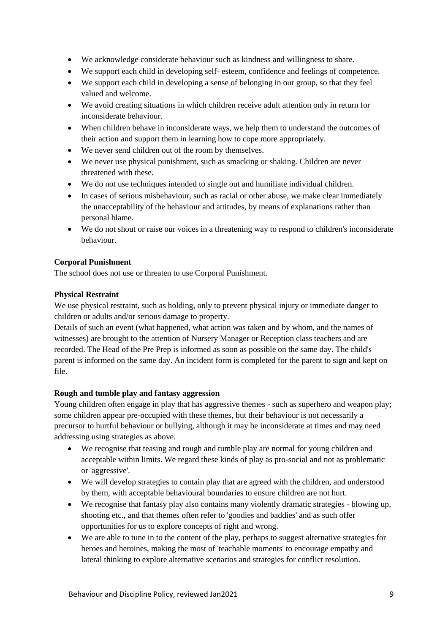- We acknowledge considerate behaviour such as kindness and willingness to share.
- We support each child in developing self- esteem, confidence and feelings of competence.
- We support each child in developing a sense of belonging in our group, so that they feel valued and welcome.
- We avoid creating situations in which children receive adult attention only in return for inconsiderate behaviour.
- When children behave in inconsiderate ways, we help them to understand the outcomes of their action and support them in learning how to cope more appropriately.
- We never send children out of the room by themselves.
- We never use physical punishment, such as smacking or shaking. Children are never threatened with these.
- We do not use techniques intended to single out and humiliate individual children.
- In cases of serious misbehaviour, such as racial or other abuse, we make clear immediately the unacceptability of the behaviour and attitudes, by means of explanations rather than personal blame.
- We do not shout or raise our voices in a threatening way to respond to children's inconsiderate behaviour.

### **Corporal Punishment**

The school does not use or threaten to use Corporal Punishment.

### **Physical Restraint**

We use physical restraint, such as holding, only to prevent physical injury or immediate danger to children or adults and/or serious damage to property.

Details of such an event (what happened, what action was taken and by whom, and the names of witnesses) are brought to the attention of Nursery Manager or Reception class teachers and are recorded. The Head of the Pre Prep is informed as soon as possible on the same day. The child's parent is informed on the same day. An incident form is completed for the parent to sign and kept on file.

### **Rough and tumble play and fantasy aggression**

Young children often engage in play that has aggressive themes - such as superhero and weapon play; some children appear pre-occupied with these themes, but their behaviour is not necessarily a precursor to hurtful behaviour or bullying, although it may be inconsiderate at times and may need addressing using strategies as above.

- We recognise that teasing and rough and tumble play are normal for young children and acceptable within limits. We regard these kinds of play as pro-social and not as problematic or 'aggressive'.
- We will develop strategies to contain play that are agreed with the children, and understood by them, with acceptable behavioural boundaries to ensure children are not hurt.
- We recognise that fantasy play also contains many violently dramatic strategies blowing up, shooting etc., and that themes often refer to 'goodies and baddies' and as such offer opportunities for us to explore concepts of right and wrong.
- We are able to tune in to the content of the play, perhaps to suggest alternative strategies for heroes and heroines, making the most of 'teachable moments' to encourage empathy and lateral thinking to explore alternative scenarios and strategies for conflict resolution.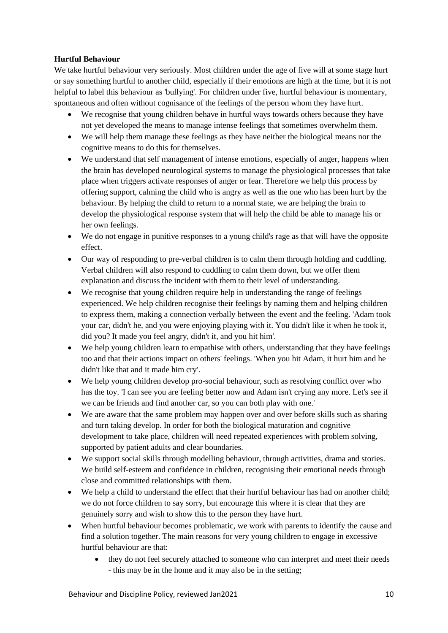### **Hurtful Behaviour**

We take hurtful behaviour very seriously. Most children under the age of five will at some stage hurt or say something hurtful to another child, especially if their emotions are high at the time, but it is not helpful to label this behaviour as 'bullying'. For children under five, hurtful behaviour is momentary, spontaneous and often without cognisance of the feelings of the person whom they have hurt.

- We recognise that young children behave in hurtful ways towards others because they have not yet developed the means to manage intense feelings that sometimes overwhelm them.
- We will help them manage these feelings as they have neither the biological means nor the cognitive means to do this for themselves.
- We understand that self management of intense emotions, especially of anger, happens when the brain has developed neurological systems to manage the physiological processes that take place when triggers activate responses of anger or fear. Therefore we help this process by offering support, calming the child who is angry as well as the one who has been hurt by the behaviour. By helping the child to return to a normal state, we are helping the brain to develop the physiological response system that will help the child be able to manage his or her own feelings.
- We do not engage in punitive responses to a young child's rage as that will have the opposite effect.
- Our way of responding to pre-verbal children is to calm them through holding and cuddling. Verbal children will also respond to cuddling to calm them down, but we offer them explanation and discuss the incident with them to their level of understanding.
- We recognise that young children require help in understanding the range of feelings experienced. We help children recognise their feelings by naming them and helping children to express them, making a connection verbally between the event and the feeling. 'Adam took your car, didn't he, and you were enjoying playing with it. You didn't like it when he took it, did you? It made you feel angry, didn't it, and you hit him'.
- We help young children learn to empathise with others, understanding that they have feelings too and that their actions impact on others' feelings. 'When you hit Adam, it hurt him and he didn't like that and it made him cry'.
- We help young children develop pro-social behaviour, such as resolving conflict over who has the toy. 'I can see you are feeling better now and Adam isn't crying any more. Let's see if we can be friends and find another car, so you can both play with one.'
- We are aware that the same problem may happen over and over before skills such as sharing and turn taking develop. In order for both the biological maturation and cognitive development to take place, children will need repeated experiences with problem solving, supported by patient adults and clear boundaries.
- We support social skills through modelling behaviour, through activities, drama and stories. We build self-esteem and confidence in children, recognising their emotional needs through close and committed relationships with them.
- We help a child to understand the effect that their hurtful behaviour has had on another child; we do not force children to say sorry, but encourage this where it is clear that they are genuinely sorry and wish to show this to the person they have hurt.
- When hurtful behaviour becomes problematic, we work with parents to identify the cause and find a solution together. The main reasons for very young children to engage in excessive hurtful behaviour are that:
	- they do not feel securely attached to someone who can interpret and meet their needs - this may be in the home and it may also be in the setting;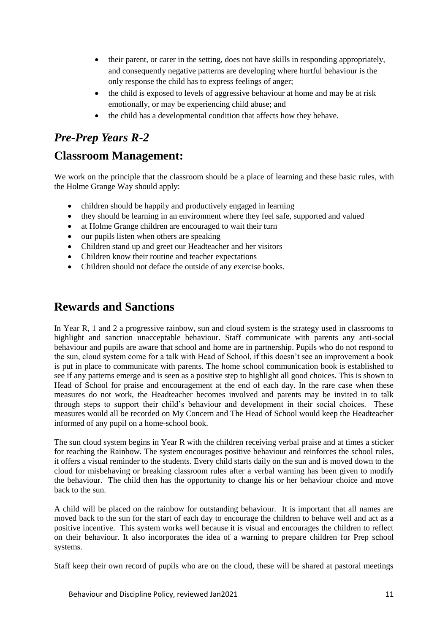- their parent, or carer in the setting, does not have skills in responding appropriately, and consequently negative patterns are developing where hurtful behaviour is the only response the child has to express feelings of anger;
- the child is exposed to levels of aggressive behaviour at home and may be at risk emotionally, or may be experiencing child abuse; and
- the child has a developmental condition that affects how they behave.

## *Pre-Prep Years R-2*

## **Classroom Management:**

We work on the principle that the classroom should be a place of learning and these basic rules, with the Holme Grange Way should apply:

- children should be happily and productively engaged in learning
- they should be learning in an environment where they feel safe, supported and valued
- at Holme Grange children are encouraged to wait their turn
- our pupils listen when others are speaking
- Children stand up and greet our Headteacher and her visitors
- Children know their routine and teacher expectations
- Children should not deface the outside of any exercise books.

## **Rewards and Sanctions**

In Year R, 1 and 2 a progressive rainbow, sun and cloud system is the strategy used in classrooms to highlight and sanction unacceptable behaviour. Staff communicate with parents any anti-social behaviour and pupils are aware that school and home are in partnership. Pupils who do not respond to the sun, cloud system come for a talk with Head of School, if this doesn't see an improvement a book is put in place to communicate with parents. The home school communication book is established to see if any patterns emerge and is seen as a positive step to highlight all good choices. This is shown to Head of School for praise and encouragement at the end of each day. In the rare case when these measures do not work, the Headteacher becomes involved and parents may be invited in to talk through steps to support their child's behaviour and development in their social choices. These measures would all be recorded on My Concern and The Head of School would keep the Headteacher informed of any pupil on a home-school book.

The sun cloud system begins in Year R with the children receiving verbal praise and at times a sticker for reaching the Rainbow. The system encourages positive behaviour and reinforces the school rules, it offers a visual reminder to the students. Every child starts daily on the sun and is moved down to the cloud for misbehaving or breaking classroom rules after a verbal warning has been given to modify the behaviour. The child then has the opportunity to change his or her behaviour choice and move back to the sun.

A child will be placed on the rainbow for outstanding behaviour. It is important that all names are moved back to the sun for the start of each day to encourage the children to behave well and act as a positive incentive. This system works well because it is visual and encourages the children to reflect on their behaviour. It also incorporates the idea of a warning to prepare children for Prep school systems.

Staff keep their own record of pupils who are on the cloud, these will be shared at pastoral meetings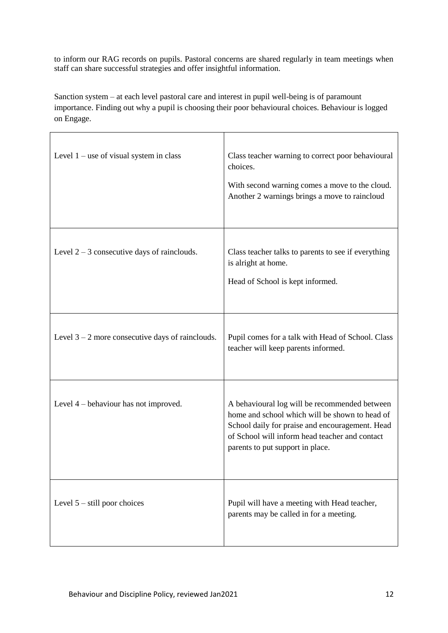to inform our RAG records on pupils. Pastoral concerns are shared regularly in team meetings when staff can share successful strategies and offer insightful information.

Sanction system – at each level pastoral care and interest in pupil well-being is of paramount importance. Finding out why a pupil is choosing their poor behavioural choices. Behaviour is logged on Engage.

| Level $1$ – use of visual system in class          | Class teacher warning to correct poor behavioural<br>choices.<br>With second warning comes a move to the cloud.<br>Another 2 warnings brings a move to raincloud                                                                         |
|----------------------------------------------------|------------------------------------------------------------------------------------------------------------------------------------------------------------------------------------------------------------------------------------------|
| Level $2 - 3$ consecutive days of rainclouds.      | Class teacher talks to parents to see if everything<br>is alright at home.<br>Head of School is kept informed.                                                                                                                           |
| Level $3 - 2$ more consecutive days of rainclouds. | Pupil comes for a talk with Head of School. Class<br>teacher will keep parents informed.                                                                                                                                                 |
| Level $4$ – behaviour has not improved.            | A behavioural log will be recommended between<br>home and school which will be shown to head of<br>School daily for praise and encouragement. Head<br>of School will inform head teacher and contact<br>parents to put support in place. |
| Level $5 -$ still poor choices                     | Pupil will have a meeting with Head teacher,<br>parents may be called in for a meeting.                                                                                                                                                  |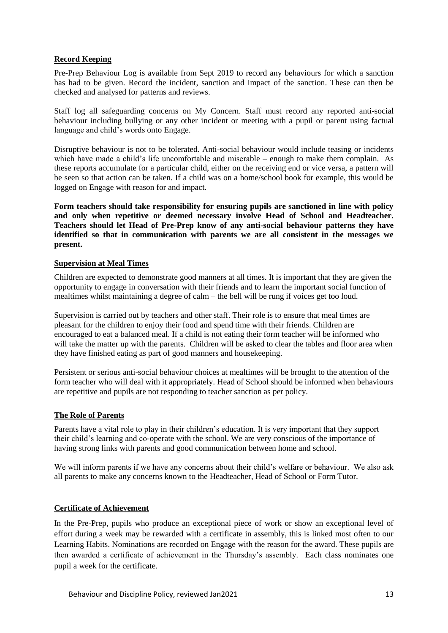### **Record Keeping**

Pre-Prep Behaviour Log is available from Sept 2019 to record any behaviours for which a sanction has had to be given. Record the incident, sanction and impact of the sanction. These can then be checked and analysed for patterns and reviews.

Staff log all safeguarding concerns on My Concern. Staff must record any reported anti-social behaviour including bullying or any other incident or meeting with a pupil or parent using factual language and child's words onto Engage.

Disruptive behaviour is not to be tolerated. Anti-social behaviour would include teasing or incidents which have made a child's life uncomfortable and miserable – enough to make them complain. As these reports accumulate for a particular child, either on the receiving end or vice versa, a pattern will be seen so that action can be taken. If a child was on a home/school book for example, this would be logged on Engage with reason for and impact.

**Form teachers should take responsibility for ensuring pupils are sanctioned in line with policy and only when repetitive or deemed necessary involve Head of School and Headteacher. Teachers should let Head of Pre-Prep know of any anti-social behaviour patterns they have identified so that in communication with parents we are all consistent in the messages we present.**

### **Supervision at Meal Times**

Children are expected to demonstrate good manners at all times. It is important that they are given the opportunity to engage in conversation with their friends and to learn the important social function of mealtimes whilst maintaining a degree of calm – the bell will be rung if voices get too loud.

Supervision is carried out by teachers and other staff. Their role is to ensure that meal times are pleasant for the children to enjoy their food and spend time with their friends. Children are encouraged to eat a balanced meal. If a child is not eating their form teacher will be informed who will take the matter up with the parents. Children will be asked to clear the tables and floor area when they have finished eating as part of good manners and housekeeping.

Persistent or serious anti-social behaviour choices at mealtimes will be brought to the attention of the form teacher who will deal with it appropriately. Head of School should be informed when behaviours are repetitive and pupils are not responding to teacher sanction as per policy.

### **The Role of Parents**

Parents have a vital role to play in their children's education. It is very important that they support their child's learning and co-operate with the school. We are very conscious of the importance of having strong links with parents and good communication between home and school.

We will inform parents if we have any concerns about their child's welfare or behaviour. We also ask all parents to make any concerns known to the Headteacher, Head of School or Form Tutor.

### **Certificate of Achievement**

In the Pre-Prep, pupils who produce an exceptional piece of work or show an exceptional level of effort during a week may be rewarded with a certificate in assembly, this is linked most often to our Learning Habits. Nominations are recorded on Engage with the reason for the award. These pupils are then awarded a certificate of achievement in the Thursday's assembly. Each class nominates one pupil a week for the certificate.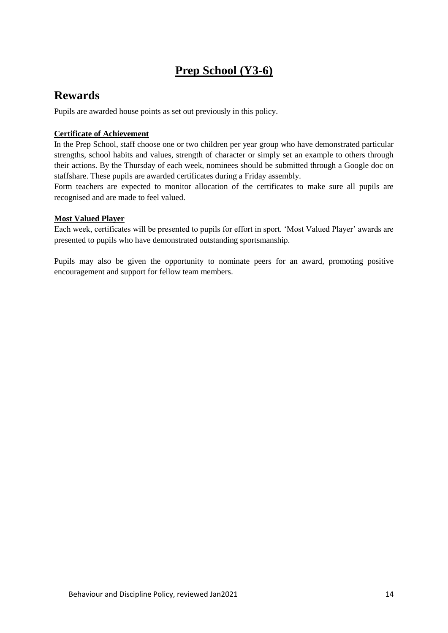## **Prep School (Y3-6)**

## **Rewards**

Pupils are awarded house points as set out previously in this policy.

### **Certificate of Achievement**

In the Prep School, staff choose one or two children per year group who have demonstrated particular strengths, school habits and values, strength of character or simply set an example to others through their actions. By the Thursday of each week, nominees should be submitted through a Google doc on staffshare. These pupils are awarded certificates during a Friday assembly.

Form teachers are expected to monitor allocation of the certificates to make sure all pupils are recognised and are made to feel valued.

### **Most Valued Player**

Each week, certificates will be presented to pupils for effort in sport. 'Most Valued Player' awards are presented to pupils who have demonstrated outstanding sportsmanship.

Pupils may also be given the opportunity to nominate peers for an award, promoting positive encouragement and support for fellow team members.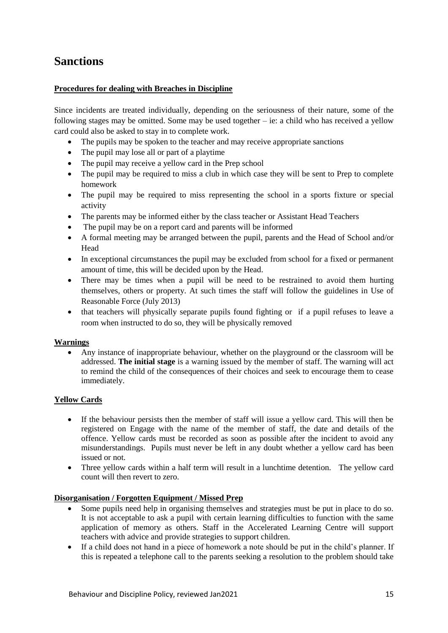## **Sanctions**

### **Procedures for dealing with Breaches in Discipline**

Since incidents are treated individually, depending on the seriousness of their nature, some of the following stages may be omitted. Some may be used together – ie: a child who has received a yellow card could also be asked to stay in to complete work.

- The pupils may be spoken to the teacher and may receive appropriate sanctions
- The pupil may lose all or part of a playtime
- The pupil may receive a yellow card in the Prep school
- The pupil may be required to miss a club in which case they will be sent to Prep to complete homework
- The pupil may be required to miss representing the school in a sports fixture or special activity
- The parents may be informed either by the class teacher or Assistant Head Teachers
- The pupil may be on a report card and parents will be informed
- A formal meeting may be arranged between the pupil, parents and the Head of School and/or Head
- In exceptional circumstances the pupil may be excluded from school for a fixed or permanent amount of time, this will be decided upon by the Head.
- There may be times when a pupil will be need to be restrained to avoid them hurting themselves, others or property. At such times the staff will follow the guidelines in Use of Reasonable Force (July 2013)
- that teachers will physically separate pupils found fighting or if a pupil refuses to leave a room when instructed to do so, they will be physically removed

### **Warnings**

• Any instance of inappropriate behaviour, whether on the playground or the classroom will be addressed. **The initial stage** is a warning issued by the member of staff. The warning will act to remind the child of the consequences of their choices and seek to encourage them to cease immediately.

### **Yellow Cards**

- If the behaviour persists then the member of staff will issue a yellow card. This will then be registered on Engage with the name of the member of staff, the date and details of the offence. Yellow cards must be recorded as soon as possible after the incident to avoid any misunderstandings. Pupils must never be left in any doubt whether a yellow card has been issued or not.
- Three yellow cards within a half term will result in a lunchtime detention. The yellow card count will then revert to zero.

### **Disorganisation / Forgotten Equipment / Missed Prep**

- Some pupils need help in organising themselves and strategies must be put in place to do so. It is not acceptable to ask a pupil with certain learning difficulties to function with the same application of memory as others. Staff in the Accelerated Learning Centre will support teachers with advice and provide strategies to support children.
- If a child does not hand in a piece of homework a note should be put in the child's planner. If this is repeated a telephone call to the parents seeking a resolution to the problem should take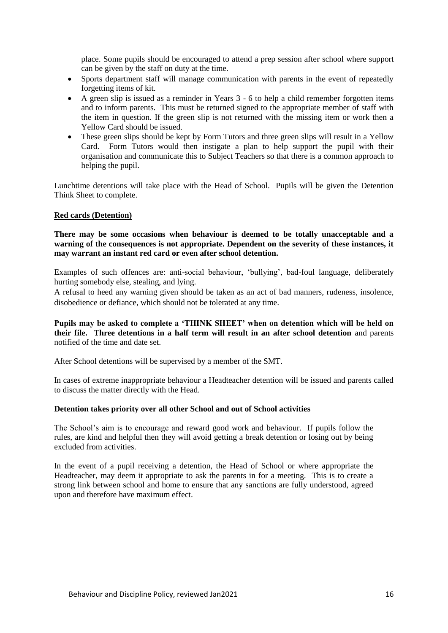place. Some pupils should be encouraged to attend a prep session after school where support can be given by the staff on duty at the time.

- Sports department staff will manage communication with parents in the event of repeatedly forgetting items of kit.
- A green slip is issued as a reminder in Years 3 6 to help a child remember forgotten items and to inform parents. This must be returned signed to the appropriate member of staff with the item in question. If the green slip is not returned with the missing item or work then a Yellow Card should be issued.
- These green slips should be kept by Form Tutors and three green slips will result in a Yellow Card. Form Tutors would then instigate a plan to help support the pupil with their organisation and communicate this to Subject Teachers so that there is a common approach to helping the pupil.

Lunchtime detentions will take place with the Head of School. Pupils will be given the Detention Think Sheet to complete.

#### **Red cards (Detention)**

### **There may be some occasions when behaviour is deemed to be totally unacceptable and a warning of the consequences is not appropriate. Dependent on the severity of these instances, it may warrant an instant red card or even after school detention.**

Examples of such offences are: anti-social behaviour, 'bullying', bad-foul language, deliberately hurting somebody else, stealing, and lying.

A refusal to heed any warning given should be taken as an act of bad manners, rudeness, insolence, disobedience or defiance, which should not be tolerated at any time.

**Pupils may be asked to complete a 'THINK SHEET' when on detention which will be held on their file. Three detentions in a half term will result in an after school detention** and parents notified of the time and date set.

After School detentions will be supervised by a member of the SMT.

In cases of extreme inappropriate behaviour a Headteacher detention will be issued and parents called to discuss the matter directly with the Head.

#### **Detention takes priority over all other School and out of School activities**

The School's aim is to encourage and reward good work and behaviour. If pupils follow the rules, are kind and helpful then they will avoid getting a break detention or losing out by being excluded from activities.

In the event of a pupil receiving a detention, the Head of School or where appropriate the Headteacher, may deem it appropriate to ask the parents in for a meeting. This is to create a strong link between school and home to ensure that any sanctions are fully understood, agreed upon and therefore have maximum effect.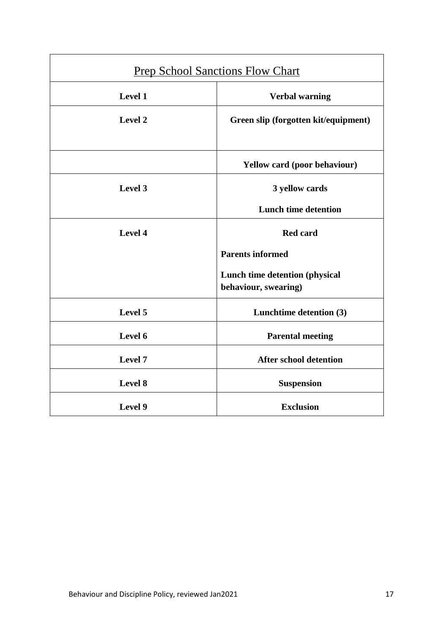| <b>Prep School Sanctions Flow Chart</b> |                                                        |  |  |
|-----------------------------------------|--------------------------------------------------------|--|--|
| Level 1                                 | <b>Verbal warning</b>                                  |  |  |
| Level 2                                 | Green slip (forgotten kit/equipment)                   |  |  |
|                                         | Yellow card (poor behaviour)                           |  |  |
| Level 3                                 | 3 yellow cards                                         |  |  |
|                                         | <b>Lunch time detention</b>                            |  |  |
| Level 4                                 | <b>Red card</b>                                        |  |  |
|                                         | <b>Parents informed</b>                                |  |  |
|                                         | Lunch time detention (physical<br>behaviour, swearing) |  |  |
| Level 5                                 | Lunchtime detention (3)                                |  |  |
| Level 6                                 | <b>Parental meeting</b>                                |  |  |
| Level 7                                 | <b>After school detention</b>                          |  |  |
| Level 8                                 | <b>Suspension</b>                                      |  |  |
| Level 9                                 | <b>Exclusion</b>                                       |  |  |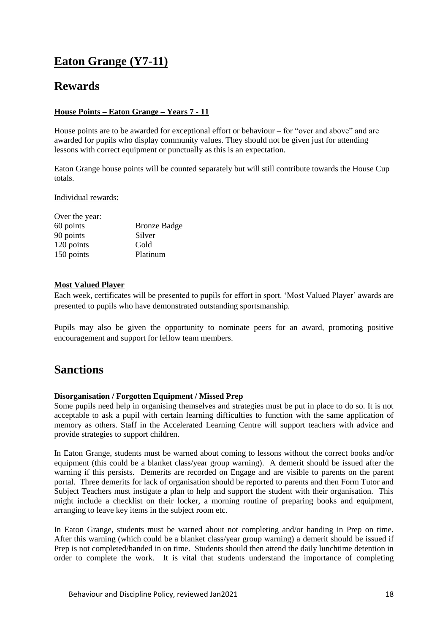# **Eaton Grange (Y7-11)**

## **Rewards**

### **House Points – Eaton Grange – Years 7 - 11**

House points are to be awarded for exceptional effort or behaviour – for "over and above" and are awarded for pupils who display community values. They should not be given just for attending lessons with correct equipment or punctually as this is an expectation.

Eaton Grange house points will be counted separately but will still contribute towards the House Cup totals.

Individual rewards:

| Over the year: |                     |
|----------------|---------------------|
| 60 points      | <b>Bronze Badge</b> |
| 90 points      | Silver              |
| 120 points     | Gold                |
| 150 points     | Platinum            |

### **Most Valued Player**

Each week, certificates will be presented to pupils for effort in sport. 'Most Valued Player' awards are presented to pupils who have demonstrated outstanding sportsmanship.

Pupils may also be given the opportunity to nominate peers for an award, promoting positive encouragement and support for fellow team members.

## **Sanctions**

### **Disorganisation / Forgotten Equipment / Missed Prep**

Some pupils need help in organising themselves and strategies must be put in place to do so. It is not acceptable to ask a pupil with certain learning difficulties to function with the same application of memory as others. Staff in the Accelerated Learning Centre will support teachers with advice and provide strategies to support children.

In Eaton Grange, students must be warned about coming to lessons without the correct books and/or equipment (this could be a blanket class/year group warning). A demerit should be issued after the warning if this persists. Demerits are recorded on Engage and are visible to parents on the parent portal. Three demerits for lack of organisation should be reported to parents and then Form Tutor and Subject Teachers must instigate a plan to help and support the student with their organisation. This might include a checklist on their locker, a morning routine of preparing books and equipment, arranging to leave key items in the subject room etc.

In Eaton Grange, students must be warned about not completing and/or handing in Prep on time. After this warning (which could be a blanket class/year group warning) a demerit should be issued if Prep is not completed/handed in on time. Students should then attend the daily lunchtime detention in order to complete the work. It is vital that students understand the importance of completing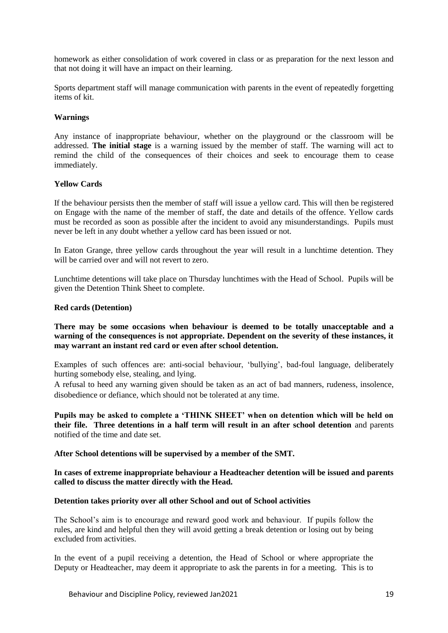homework as either consolidation of work covered in class or as preparation for the next lesson and that not doing it will have an impact on their learning.

Sports department staff will manage communication with parents in the event of repeatedly forgetting items of kit.

### **Warnings**

Any instance of inappropriate behaviour, whether on the playground or the classroom will be addressed. **The initial stage** is a warning issued by the member of staff. The warning will act to remind the child of the consequences of their choices and seek to encourage them to cease immediately.

### **Yellow Cards**

If the behaviour persists then the member of staff will issue a yellow card. This will then be registered on Engage with the name of the member of staff, the date and details of the offence. Yellow cards must be recorded as soon as possible after the incident to avoid any misunderstandings. Pupils must never be left in any doubt whether a yellow card has been issued or not.

In Eaton Grange, three yellow cards throughout the year will result in a lunchtime detention. They will be carried over and will not revert to zero.

Lunchtime detentions will take place on Thursday lunchtimes with the Head of School. Pupils will be given the Detention Think Sheet to complete.

### **Red cards (Detention)**

### **There may be some occasions when behaviour is deemed to be totally unacceptable and a warning of the consequences is not appropriate. Dependent on the severity of these instances, it may warrant an instant red card or even after school detention.**

Examples of such offences are: anti-social behaviour, 'bullying', bad-foul language, deliberately hurting somebody else, stealing, and lying.

A refusal to heed any warning given should be taken as an act of bad manners, rudeness, insolence, disobedience or defiance, which should not be tolerated at any time.

**Pupils may be asked to complete a 'THINK SHEET' when on detention which will be held on their file. Three detentions in a half term will result in an after school detention** and parents notified of the time and date set.

**After School detentions will be supervised by a member of the SMT.**

### **In cases of extreme inappropriate behaviour a Headteacher detention will be issued and parents called to discuss the matter directly with the Head.**

#### **Detention takes priority over all other School and out of School activities**

The School's aim is to encourage and reward good work and behaviour. If pupils follow the rules, are kind and helpful then they will avoid getting a break detention or losing out by being excluded from activities.

In the event of a pupil receiving a detention, the Head of School or where appropriate the Deputy or Headteacher, may deem it appropriate to ask the parents in for a meeting. This is to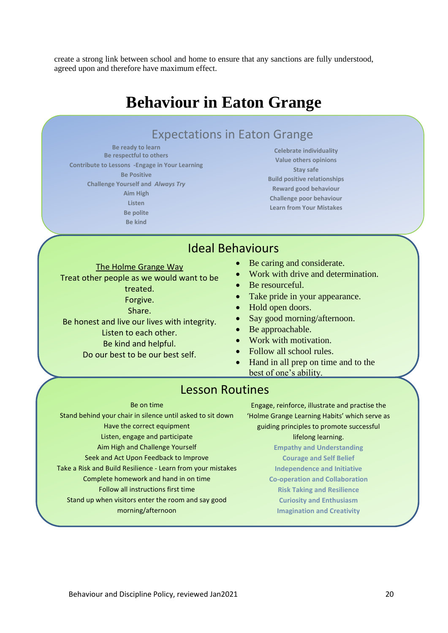create a strong link between school and home to ensure that any sanctions are fully understood, agreed upon and therefore have maximum effect.

# **Behaviour in Eaton Grange**

## Expectations in Eaton Grange

**Be ready to learn Be respectful to others Contribute to Lessons -Engage in Your Learning Be Positive Challenge Yourself and** *Always Try* **Aim High Listen Be polite Be kind**

**Celebrate individuality Value others opinions Stay safe Build positive relationships Reward good behaviour Challenge poor behaviour Learn from Your Mistakes**

## Ideal Behaviours

- Be caring and considerate.
	- Work with drive and determination.
	- Be resourceful.
	- Take pride in your appearance.
	- Hold open doors.
	- Say good morning/afternoon.
	- Be approachable.
	- Work with motivation.
	- Follow all school rules.
	- Hand in all prep on time and to the best of one's ability.

## Lesson Routines

#### Be on time

Stand behind your chair in silence until asked to sit down Have the correct equipment Listen, engage and participate Aim High and Challenge Yourself Seek and Act Upon Feedback to Improve Take a Risk and Build Resilience - Learn from your mistakes Complete homework and hand in on time Follow all instructions first time Stand up when visitors enter the room and say good morning/afternoon

Engage, reinforce, illustrate and practise the 'Holme Grange Learning Habits' which serve as guiding principles to promote successful lifelong learning. **Empathy and Understanding Courage and Self Belief**

**Independence and Initiative**

**Co-operation and Collaboration**

- **Risk Taking and Resilience Curiosity and Enthusiasm**
- **Imagination and Creativity**

treated. Forgive.

Share.

The Holme Grange Way Treat other people as we would want to be

Be honest and live our lives with integrity.

- Listen to each other.
- Be kind and helpful.
- Do our best to be our best self.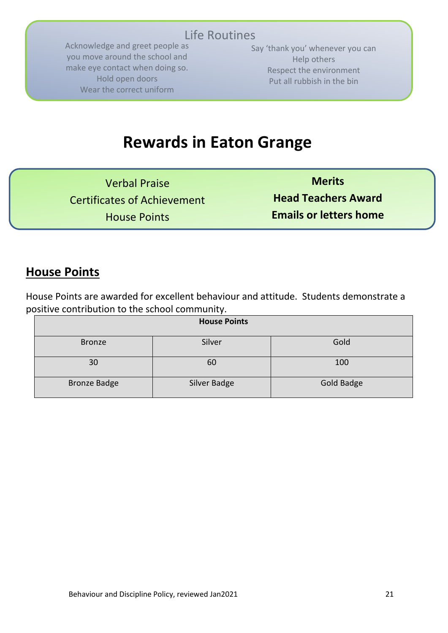# Life Routines

Acknowledge and greet people as you move around the school and make eye contact when doing so. Hold open doors Wear the correct uniform

Say 'thank you' whenever you can Help others Respect the environment Put all rubbish in the bin

# **Rewards in Eaton Grange**

Verbal Praise Certificates of Achievement House Points

**Merits Head Teachers Award Emails or letters home** 

## **House Points**

House Points are awarded for excellent behaviour and attitude. Students demonstrate a positive contribution to the school community.

| <b>House Points</b> |              |                   |  |
|---------------------|--------------|-------------------|--|
| <b>Bronze</b>       | Silver       | Gold              |  |
| 30                  | 60           | 100               |  |
| <b>Bronze Badge</b> | Silver Badge | <b>Gold Badge</b> |  |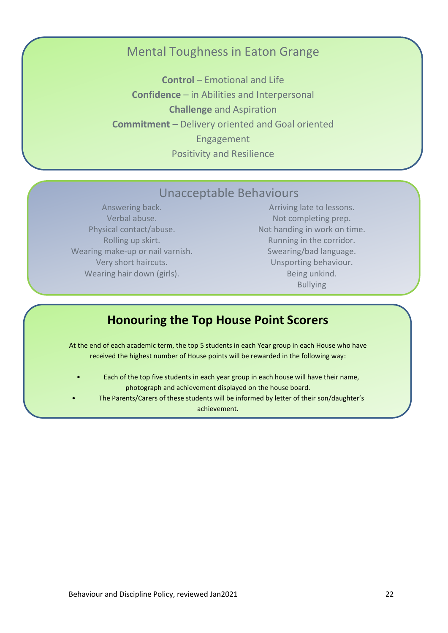## Mental Toughness in Eaton Grange

**Control** – Emotional and Life **Confidence** – in Abilities and Interpersonal **Challenge** and Aspiration **Commitment** – Delivery oriented and Goal oriented Engagement Positivity and Resilience

## Unacceptable Behaviours

Answering back. Verbal abuse. Physical contact/abuse. Rolling up skirt. Wearing make-up or nail varnish. Very short haircuts. Wearing hair down (girls).

Arriving late to lessons. Not completing prep. Not handing in work on time. Running in the corridor. Swearing/bad language. Unsporting behaviour. Being unkind. Bullying

## **Honouring the Top House Point Scorers**

At the end of each academic term, the top 5 students in each Year group in each House who have received the highest number of House points will be rewarded in the following way:

- Each of the top five students in each year group in each house will have their name, photograph and achievement displayed on the house board.
	- The Parents/Carers of these students will be informed by letter of their son/daughter's achievement.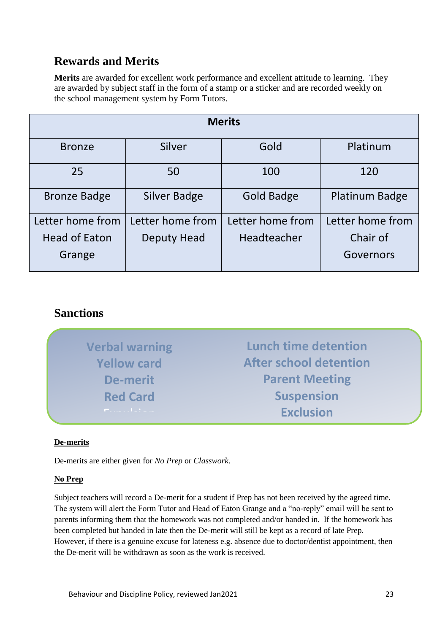## **Rewards and Merits**

**Merits** are awarded for excellent work performance and excellent attitude to learning. They are awarded by subject staff in the form of a stamp or a sticker and are recorded weekly on the school management system by Form Tutors.

| <b>Merits</b>        |                     |                   |                       |  |
|----------------------|---------------------|-------------------|-----------------------|--|
| <b>Bronze</b>        | Silver              | Gold              | Platinum              |  |
| 25                   | 50                  | 100               | 120                   |  |
| <b>Bronze Badge</b>  | <b>Silver Badge</b> | <b>Gold Badge</b> | <b>Platinum Badge</b> |  |
| Letter home from     | Letter home from    | Letter home from  | Letter home from      |  |
| <b>Head of Eaton</b> | Deputy Head         | Headteacher       | Chair of              |  |
| Grange               |                     |                   | Governors             |  |

## **Sanctions**

| <b>Verbal warning</b>   | <b>Lunch time detention</b>   |
|-------------------------|-------------------------------|
| <b>Yellow card</b>      | <b>After school detention</b> |
| De-merit                | <b>Parent Meeting</b>         |
| <b>Red Card</b>         | <b>Suspension</b>             |
| <b>Product Table of</b> | <b>Exclusion</b>              |

expulsion in the control of the control of the control of the control of the control of the control of the con<br>Exponential control of the control of the control of the control of the control of the control of the control o

## **De-merits**

De-merits are either given for *No Prep* or *Classwork*.

### **No Prep**

Subject teachers will record a De-merit for a student if Prep has not been received by the agreed time. The system will alert the Form Tutor and Head of Eaton Grange and a "no-reply" email will be sent to parents informing them that the homework was not completed and/or handed in. If the homework has been completed but handed in late then the De-merit will still be kept as a record of late Prep. However, if there is a genuine excuse for lateness e.g. absence due to doctor/dentist appointment, then the De-merit will be withdrawn as soon as the work is received.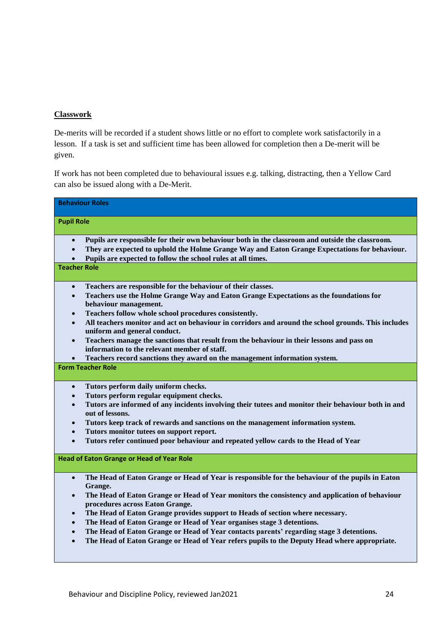### **Classwork**

De-merits will be recorded if a student shows little or no effort to complete work satisfactorily in a lesson. If a task is set and sufficient time has been allowed for completion then a De-merit will be given.

If work has not been completed due to behavioural issues e.g. talking, distracting, then a Yellow Card can also be issued along with a De-Merit.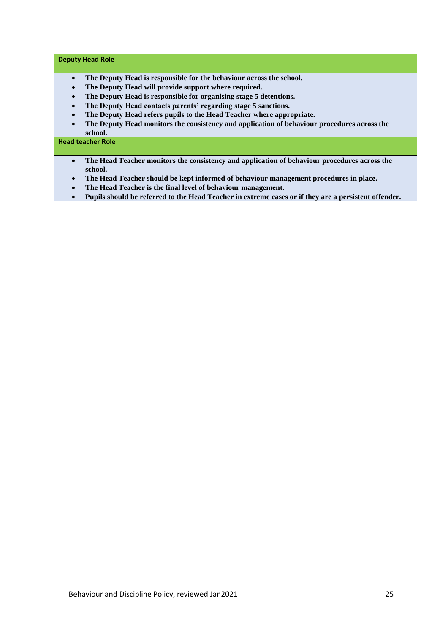#### **Deputy Head Role**

- **The Deputy Head is responsible for the behaviour across the school.**
- **The Deputy Head will provide support where required.**
- **The Deputy Head is responsible for organising stage 5 detentions.**
- **The Deputy Head contacts parents' regarding stage 5 sanctions.**
- **The Deputy Head refers pupils to the Head Teacher where appropriate.**
- **The Deputy Head monitors the consistency and application of behaviour procedures across the school.**

#### **Head teacher Role**

- **The Head Teacher monitors the consistency and application of behaviour procedures across the school.**
- **The Head Teacher should be kept informed of behaviour management procedures in place.**
- **The Head Teacher is the final level of behaviour management.**
- **Pupils should be referred to the Head Teacher in extreme cases or if they are a persistent offender.**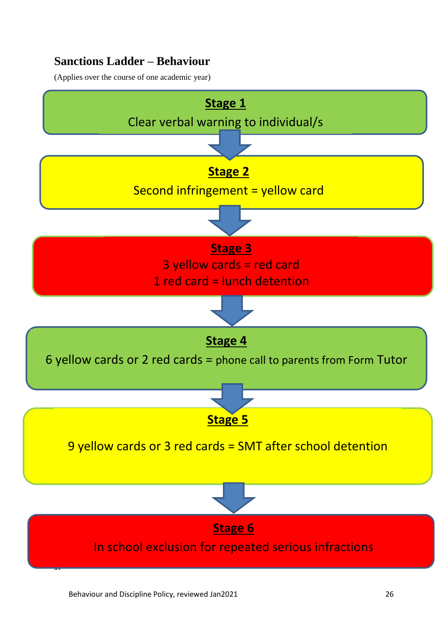## **Sanctions Ladder – Behaviour**

(Applies over the course of one academic year)

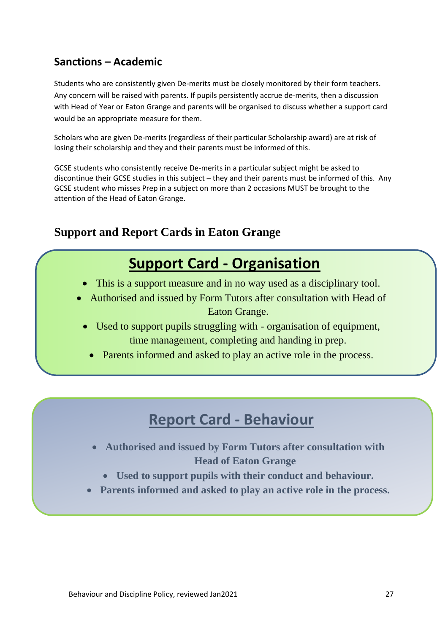## **Sanctions – Academic**

Students who are consistently given De-merits must be closely monitored by their form teachers. Any concern will be raised with parents. If pupils persistently accrue de-merits, then a discussion with Head of Year or Eaton Grange and parents will be organised to discuss whether a support card would be an appropriate measure for them.

Scholars who are given De-merits (regardless of their particular Scholarship award) are at risk of losing their scholarship and they and their parents must be informed of this.

GCSE students who consistently receive De-merits in a particular subject might be asked to discontinue their GCSE studies in this subject – they and their parents must be informed of this. Any GCSE student who misses Prep in a subject on more than 2 occasions MUST be brought to the attention of the Head of Eaton Grange.

## **Support and Report Cards in Eaton Grange**

# **Support Card - Organisation**

- This is a support measure and in no way used as a disciplinary tool.
- Authorised and issued by Form Tutors after consultation with Head of Eaton Grange.
	- Used to support pupils struggling with organisation of equipment, time management, completing and handing in prep.
		- Parents informed and asked to play an active role in the process.

# **Report Card - Behaviour**

- **Authorised and issued by Form Tutors after consultation with Head of Eaton Grange**
	- **Used to support pupils with their conduct and behaviour.**
- **Parents informed and asked to play an active role in the process.**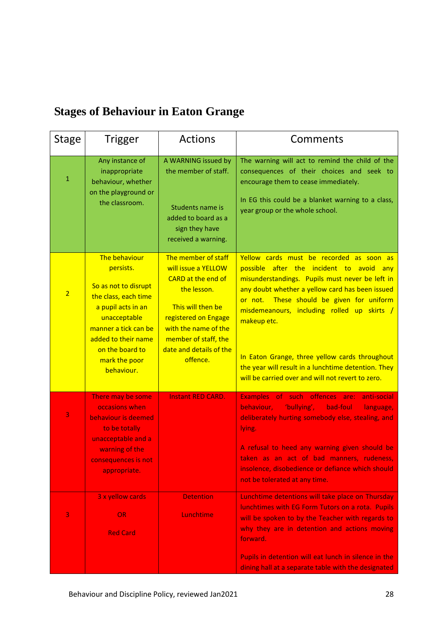# **Stages of Behaviour in Eaton Grange**

| <b>Stage</b>   | Trigger                                                                                                                                                                                                           | <b>Actions</b>                                                                                                                                                                                                      | Comments                                                                                                                                                                                                                                                                                                                                                                                                                                                            |
|----------------|-------------------------------------------------------------------------------------------------------------------------------------------------------------------------------------------------------------------|---------------------------------------------------------------------------------------------------------------------------------------------------------------------------------------------------------------------|---------------------------------------------------------------------------------------------------------------------------------------------------------------------------------------------------------------------------------------------------------------------------------------------------------------------------------------------------------------------------------------------------------------------------------------------------------------------|
| $\mathbf{1}$   | Any instance of<br>inappropriate<br>behaviour, whether<br>on the playground or<br>the classroom.                                                                                                                  | A WARNING issued by<br>the member of staff.<br>Students name is<br>added to board as a<br>sign they have<br>received a warning.                                                                                     | The warning will act to remind the child of the<br>consequences of their choices and seek to<br>encourage them to cease immediately.<br>In EG this could be a blanket warning to a class,<br>year group or the whole school.                                                                                                                                                                                                                                        |
| $\overline{2}$ | The behaviour<br>persists.<br>So as not to disrupt<br>the class, each time<br>a pupil acts in an<br>unacceptable<br>manner a tick can be<br>added to their name<br>on the board to<br>mark the poor<br>behaviour. | The member of staff<br>will issue a YELLOW<br>CARD at the end of<br>the lesson.<br>This will then be<br>registered on Engage<br>with the name of the<br>member of staff, the<br>date and details of the<br>offence. | Yellow cards must be recorded as soon as<br>possible after the incident to avoid any<br>misunderstandings. Pupils must never be left in<br>any doubt whether a yellow card has been issued<br>or not. These should be given for uniform<br>misdemeanours, including rolled up skirts /<br>makeup etc.<br>In Eaton Grange, three yellow cards throughout<br>the year will result in a lunchtime detention. They<br>will be carried over and will not revert to zero. |
| 3              | There may be some<br>occasions when<br>behaviour is deemed<br>to be totally<br>unacceptable and a<br>warning of the<br>consequences is not<br>appropriate.                                                        | <b>Instant RED CARD.</b>                                                                                                                                                                                            | Examples of such offences are:<br>anti-social<br>"bullying',<br>behaviour,<br>bad-foul<br>language,<br>deliberately hurting somebody else, stealing, and<br>lying.<br>A refusal to heed any warning given should be<br>taken as an act of bad manners, rudeness,<br>insolence, disobedience or defiance which should<br>not be tolerated at any time.                                                                                                               |
| 3              | 3 x yellow cards<br><b>OR</b><br><b>Red Card</b>                                                                                                                                                                  | <b>Detention</b><br>Lunchtime                                                                                                                                                                                       | Lunchtime detentions will take place on Thursday<br>lunchtimes with EG Form Tutors on a rota. Pupils<br>will be spoken to by the Teacher with regards to<br>why they are in detention and actions moving<br>forward.<br>Pupils in detention will eat lunch in silence in the<br>dining hall at a separate table with the designated                                                                                                                                 |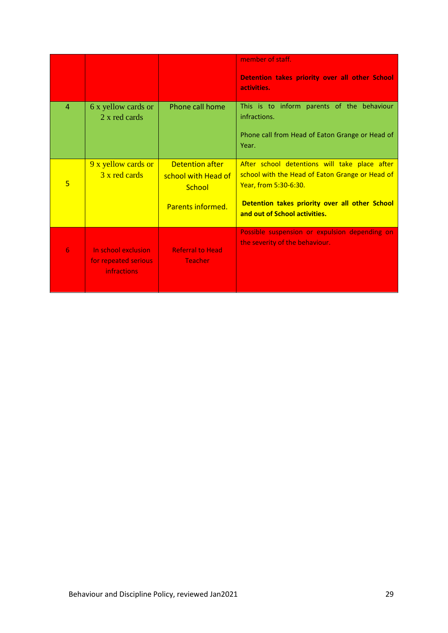|                |                                                                   |                                               | member of staff.<br>Detention takes priority over all other School<br>activities.                |
|----------------|-------------------------------------------------------------------|-----------------------------------------------|--------------------------------------------------------------------------------------------------|
| $\overline{4}$ | 6 x yellow cards or<br>2 x red cards                              | Phone call home                               | This is to inform parents of the behaviour<br>infractions.                                       |
|                |                                                                   |                                               | Phone call from Head of Eaton Grange or Head of<br>Year.                                         |
|                | 9 x yellow cards or<br>3 x red cards                              | <b>Detention after</b><br>school with Head of | After school detentions will take place after<br>school with the Head of Eaton Grange or Head of |
| 5              |                                                                   | School                                        | Year, from 5:30-6:30.                                                                            |
|                |                                                                   | Parents informed.                             | Detention takes priority over all other School<br>and out of School activities.                  |
|                |                                                                   |                                               | Possible suspension or expulsion depending on<br>the severity of the behaviour.                  |
| 6              | In school exclusion<br>for repeated serious<br><b>infractions</b> | <b>Referral to Head</b><br><b>Teacher</b>     |                                                                                                  |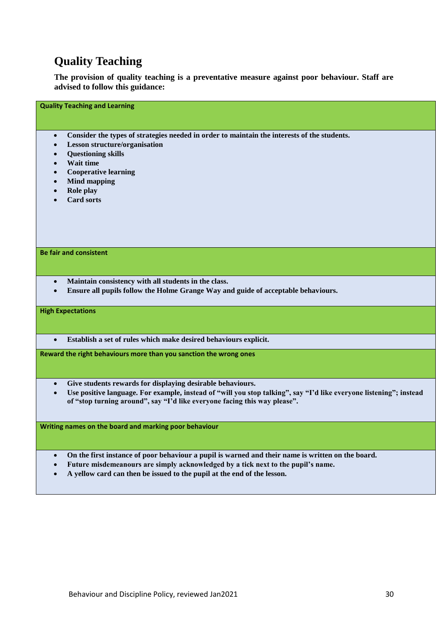## **Quality Teaching**

**The provision of quality teaching is a preventative measure against poor behaviour. Staff are advised to follow this guidance:**

• **Consider the types of strategies needed in order to maintain the interests of the students.**

- **Lesson structure/organisation**
- **Questioning skills**

**Quality Teaching and Learning**

- **Wait time**
- **Cooperative learning**
- **Mind mapping**
- **Role play**
- **Card sorts**

### **Be fair and consistent**

- **Maintain consistency with all students in the class.**
- **Ensure all pupils follow the Holme Grange Way and guide of acceptable behaviours.**

#### **High Expectations**

• **Establish a set of rules which make desired behaviours explicit.**

**Reward the right behaviours more than you sanction the wrong ones**

- **Give students rewards for displaying desirable behaviours.**
- **Use positive language. For example, instead of "will you stop talking", say "I'd like everyone listening"; instead of "stop turning around", say "I'd like everyone facing this way please".**

**Writing names on the board and marking poor behaviour**

- **On the first instance of poor behaviour a pupil is warned and their name is written on the board.**
- **Future misdemeanours are simply acknowledged by a tick next to the pupil's name.**
- **A yellow card can then be issued to the pupil at the end of the lesson.**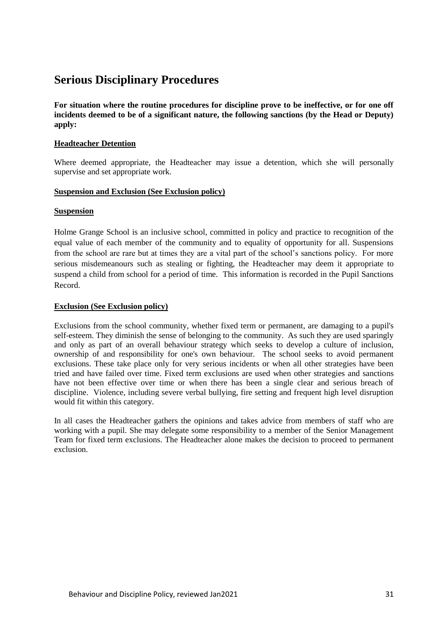## **Serious Disciplinary Procedures**

**For situation where the routine procedures for discipline prove to be ineffective, or for one off incidents deemed to be of a significant nature, the following sanctions (by the Head or Deputy) apply:**

### **Headteacher Detention**

Where deemed appropriate, the Headteacher may issue a detention, which she will personally supervise and set appropriate work.

### **Suspension and Exclusion (See Exclusion policy)**

### **Suspension**

Holme Grange School is an inclusive school, committed in policy and practice to recognition of the equal value of each member of the community and to equality of opportunity for all. Suspensions from the school are rare but at times they are a vital part of the school's sanctions policy. For more serious misdemeanours such as stealing or fighting, the Headteacher may deem it appropriate to suspend a child from school for a period of time. This information is recorded in the Pupil Sanctions Record.

### **Exclusion (See Exclusion policy)**

Exclusions from the school community, whether fixed term or permanent, are damaging to a pupil's self-esteem. They diminish the sense of belonging to the community. As such they are used sparingly and only as part of an overall behaviour strategy which seeks to develop a culture of inclusion, ownership of and responsibility for one's own behaviour. The school seeks to avoid permanent exclusions. These take place only for very serious incidents or when all other strategies have been tried and have failed over time. Fixed term exclusions are used when other strategies and sanctions have not been effective over time or when there has been a single clear and serious breach of discipline. Violence, including severe verbal bullying, fire setting and frequent high level disruption would fit within this category.

In all cases the Headteacher gathers the opinions and takes advice from members of staff who are working with a pupil. She may delegate some responsibility to a member of the Senior Management Team for fixed term exclusions. The Headteacher alone makes the decision to proceed to permanent exclusion.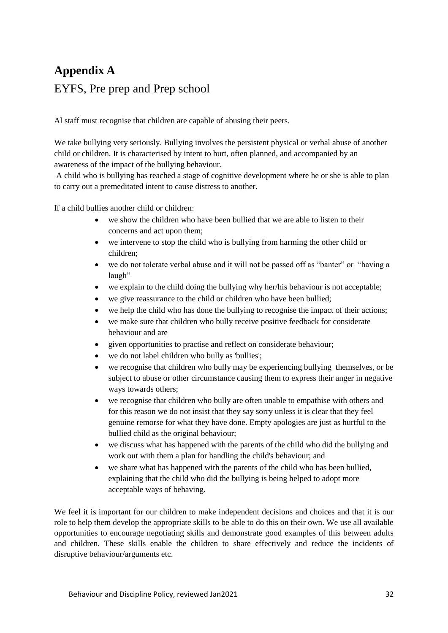# **Appendix A** EYFS, Pre prep and Prep school

Al staff must recognise that children are capable of abusing their peers.

We take bullying very seriously. Bullying involves the persistent physical or verbal abuse of another child or children. It is characterised by intent to hurt, often planned, and accompanied by an awareness of the impact of the bullying behaviour.

A child who is bullying has reached a stage of cognitive development where he or she is able to plan to carry out a premeditated intent to cause distress to another.

If a child bullies another child or children:

- we show the children who have been bullied that we are able to listen to their concerns and act upon them;
- we intervene to stop the child who is bullying from harming the other child or children;
- we do not tolerate verbal abuse and it will not be passed off as "banter" or "having a laugh"
- we explain to the child doing the bullying why her/his behaviour is not acceptable;
- we give reassurance to the child or children who have been bullied;
- we help the child who has done the bullying to recognise the impact of their actions;
- we make sure that children who bully receive positive feedback for considerate behaviour and are
- given opportunities to practise and reflect on considerate behaviour;
- we do not label children who bully as 'bullies';
- we recognise that children who bully may be experiencing bullying themselves, or be subject to abuse or other circumstance causing them to express their anger in negative ways towards others;
- we recognise that children who bully are often unable to empathise with others and for this reason we do not insist that they say sorry unless it is clear that they feel genuine remorse for what they have done. Empty apologies are just as hurtful to the bullied child as the original behaviour;
- we discuss what has happened with the parents of the child who did the bullying and work out with them a plan for handling the child's behaviour; and
- we share what has happened with the parents of the child who has been bullied, explaining that the child who did the bullying is being helped to adopt more acceptable ways of behaving.

We feel it is important for our children to make independent decisions and choices and that it is our role to help them develop the appropriate skills to be able to do this on their own. We use all available opportunities to encourage negotiating skills and demonstrate good examples of this between adults and children. These skills enable the children to share effectively and reduce the incidents of disruptive behaviour/arguments etc.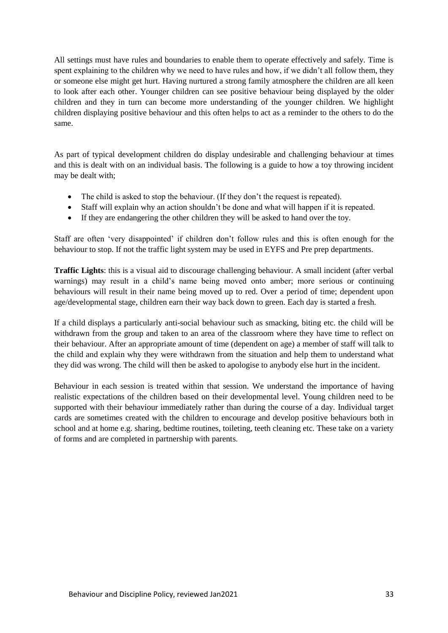All settings must have rules and boundaries to enable them to operate effectively and safely. Time is spent explaining to the children why we need to have rules and how, if we didn't all follow them, they or someone else might get hurt. Having nurtured a strong family atmosphere the children are all keen to look after each other. Younger children can see positive behaviour being displayed by the older children and they in turn can become more understanding of the younger children. We highlight children displaying positive behaviour and this often helps to act as a reminder to the others to do the same.

As part of typical development children do display undesirable and challenging behaviour at times and this is dealt with on an individual basis. The following is a guide to how a toy throwing incident may be dealt with;

- The child is asked to stop the behaviour. (If they don't the request is repeated).
- Staff will explain why an action shouldn't be done and what will happen if it is repeated.
- If they are endangering the other children they will be asked to hand over the toy.

Staff are often 'very disappointed' if children don't follow rules and this is often enough for the behaviour to stop. If not the traffic light system may be used in EYFS and Pre prep departments.

**Traffic Lights**: this is a visual aid to discourage challenging behaviour. A small incident (after verbal warnings) may result in a child's name being moved onto amber; more serious or continuing behaviours will result in their name being moved up to red. Over a period of time; dependent upon age/developmental stage, children earn their way back down to green. Each day is started a fresh.

If a child displays a particularly anti-social behaviour such as smacking, biting etc. the child will be withdrawn from the group and taken to an area of the classroom where they have time to reflect on their behaviour. After an appropriate amount of time (dependent on age) a member of staff will talk to the child and explain why they were withdrawn from the situation and help them to understand what they did was wrong. The child will then be asked to apologise to anybody else hurt in the incident.

Behaviour in each session is treated within that session. We understand the importance of having realistic expectations of the children based on their developmental level. Young children need to be supported with their behaviour immediately rather than during the course of a day. Individual target cards are sometimes created with the children to encourage and develop positive behaviours both in school and at home e.g. sharing, bedtime routines, toileting, teeth cleaning etc. These take on a variety of forms and are completed in partnership with parents.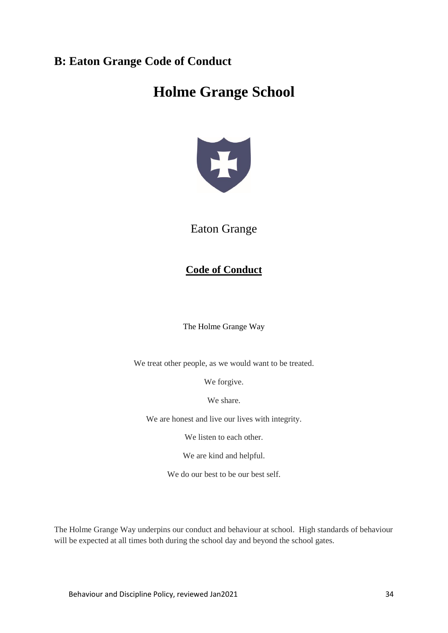## **B: Eaton Grange Code of Conduct**

# **Holme Grange School**



## Eaton Grange

## **Code of Conduct**

The Holme Grange Way

We treat other people, as we would want to be treated.

We forgive.

We share.

We are honest and live our lives with integrity.

We listen to each other.

We are kind and helpful.

We do our best to be our best self.

The Holme Grange Way underpins our conduct and behaviour at school. High standards of behaviour will be expected at all times both during the school day and beyond the school gates.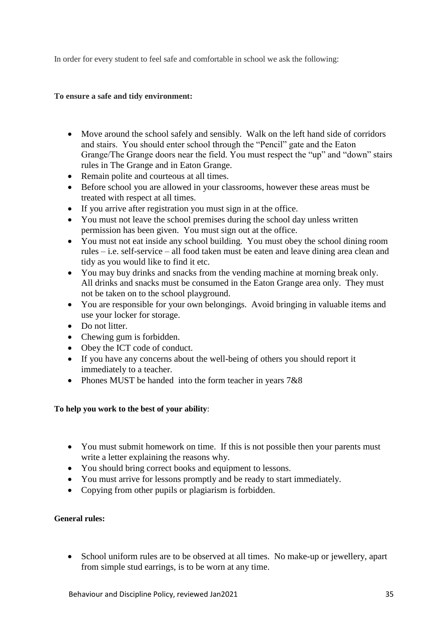In order for every student to feel safe and comfortable in school we ask the following:

### **To ensure a safe and tidy environment:**

- Move around the school safely and sensibly. Walk on the left hand side of corridors and stairs. You should enter school through the "Pencil" gate and the Eaton Grange/The Grange doors near the field. You must respect the "up" and "down" stairs rules in The Grange and in Eaton Grange.
- Remain polite and courteous at all times.
- Before school you are allowed in your classrooms, however these areas must be treated with respect at all times.
- If you arrive after registration you must sign in at the office.
- You must not leave the school premises during the school day unless written permission has been given. You must sign out at the office.
- You must not eat inside any school building. You must obey the school dining room rules – i.e. self-service – all food taken must be eaten and leave dining area clean and tidy as you would like to find it etc.
- You may buy drinks and snacks from the vending machine at morning break only. All drinks and snacks must be consumed in the Eaton Grange area only. They must not be taken on to the school playground.
- You are responsible for your own belongings. Avoid bringing in valuable items and use your locker for storage.
- Do not litter.
- Chewing gum is forbidden.
- Obey the ICT code of conduct.
- If you have any concerns about the well-being of others you should report it immediately to a teacher.
- Phones MUST be handed into the form teacher in years  $7&88$

### **To help you work to the best of your ability**:

- You must submit homework on time. If this is not possible then your parents must write a letter explaining the reasons why.
- You should bring correct books and equipment to lessons.
- You must arrive for lessons promptly and be ready to start immediately.
- Copying from other pupils or plagiarism is forbidden.

## **General rules:**

• School uniform rules are to be observed at all times. No make-up or jewellery, apart from simple stud earrings, is to be worn at any time.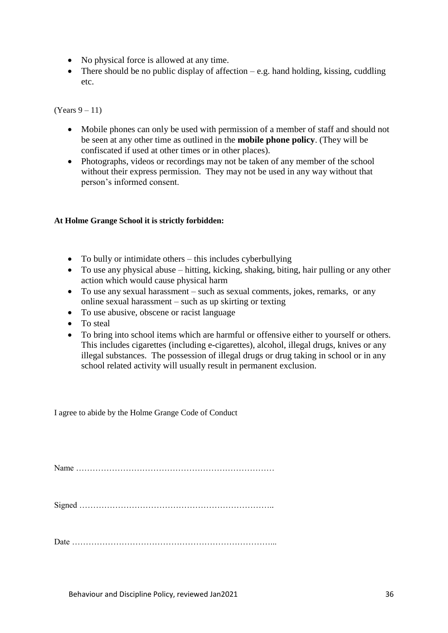- No physical force is allowed at any time.
- There should be no public display of affection  $-e.g.$  hand holding, kissing, cuddling etc.

(Years  $9-11$ )

- Mobile phones can only be used with permission of a member of staff and should not be seen at any other time as outlined in the **mobile phone policy**. (They will be confiscated if used at other times or in other places).
- Photographs, videos or recordings may not be taken of any member of the school without their express permission. They may not be used in any way without that person's informed consent.

### **At Holme Grange School it is strictly forbidden:**

- To bully or intimidate others this includes cyberbullying
- To use any physical abuse hitting, kicking, shaking, biting, hair pulling or any other action which would cause physical harm
- To use any sexual harassment such as sexual comments, jokes, remarks, or any online sexual harassment – such as up skirting or texting
- To use abusive, obscene or racist language
- To steal
- To bring into school items which are harmful or offensive either to yourself or others. This includes cigarettes (including e-cigarettes), alcohol, illegal drugs, knives or any illegal substances. The possession of illegal drugs or drug taking in school or in any school related activity will usually result in permanent exclusion.

I agree to abide by the Holme Grange Code of Conduct

Name ………………………………………………………………

Signed ……………………………………………………………..

Date ………………………………………………………………...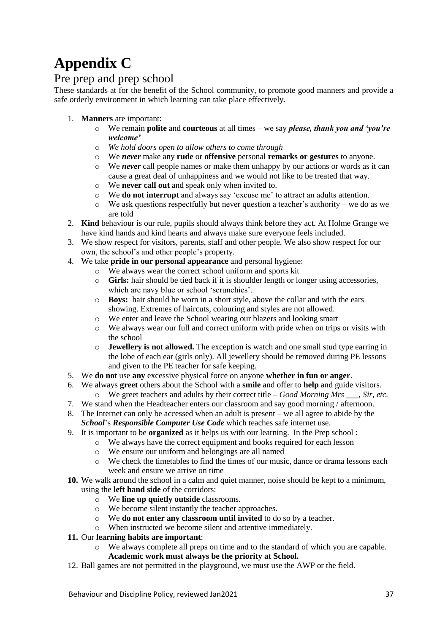# **Appendix C**

## Pre prep and prep school

These standards at for the benefit of the School community, to promote good manners and provide a safe orderly environment in which learning can take place effectively.

- 1. **Manners** are important:
	- o We remain **polite** and **courteous** at all times we say *please, thank you and 'you're welcome'*
	- o *We hold doors open to allow others to come through*
	- o We *never* make any **rude** or **offensive** personal **remarks or gestures** to anyone.
	- o We *never* call people names or make them unhappy by our actions or words as it can cause a great deal of unhappiness and we would not like to be treated that way.
	- o We **never call out** and speak only when invited to.
	- o We **do not interrupt** and always say 'excuse me' to attract an adults attention.
	- $\circ$  We ask questions respectfully but never question a teacher's authority we do as we are told
- 2. **Kind** behaviour is our rule, pupils should always think before they act. At Holme Grange we have kind hands and kind hearts and always make sure everyone feels included.
- 3. We show respect for visitors, parents, staff and other people. We also show respect for our own, the school's and other people's property.
- 4. We take **pride in our personal appearance** and personal hygiene:
	- o We always wear the correct school uniform and sports kit
		- o **Girls:** hair should be tied back if it is shoulder length or longer using accessories, which are navy blue or school 'scrunchies'.
		- o **Boys:** hair should be worn in a short style, above the collar and with the ears showing. Extremes of haircuts, colouring and styles are not allowed.
		- o We enter and leave the School wearing our blazers and looking smart
		- o We always wear our full and correct uniform with pride when on trips or visits with the school
		- o **Jewellery is not allowed.** The exception is watch and one small stud type earring in the lobe of each ear (girls only). All jewellery should be removed during PE lessons and given to the PE teacher for safe keeping.
- 5. We **do not** use **any** excessive physical force on anyone **whether in fun or anger**.
- 6. We always **greet** others about the School with a **smile** and offer to **help** and guide visitors.
	- o We greet teachers and adults by their correct title *Good Morning Mrs \_\_\_, Sir, etc.*
- 7. We stand when the Headteacher enters our classroom and say good morning / afternoon.
- 8. The Internet can only be accessed when an adult is present we all agree to abide by the *School*'s *Responsible Computer Use Code* which teaches safe internet use.
- 9. It is important to be **organized** as it helps us with our learning. In the Prep school :
	- o We always have the correct equipment and books required for each lesson
		- o We ensure our uniform and belongings are all named
		- o We check the timetables to find the times of our music, dance or drama lessons each week and ensure we arrive on time
- **10.** We walk around the school in a calm and quiet manner, noise should be kept to a minimum, using the **left hand side** of the corridors:
	- o We **line up quietly outside** classrooms.
	- o We become silent instantly the teacher approaches.
	- o We **do not enter any classroom until invited** to do so by a teacher.
	- o When instructed we become silent and attentive immediately.
- **11.** Our **learning habits are important**:
	- We always complete all preps on time and to the standard of which you are capable. **Academic work must always be the priority at School.**
- 12. Ball games are not permitted in the playground, we must use the AWP or the field.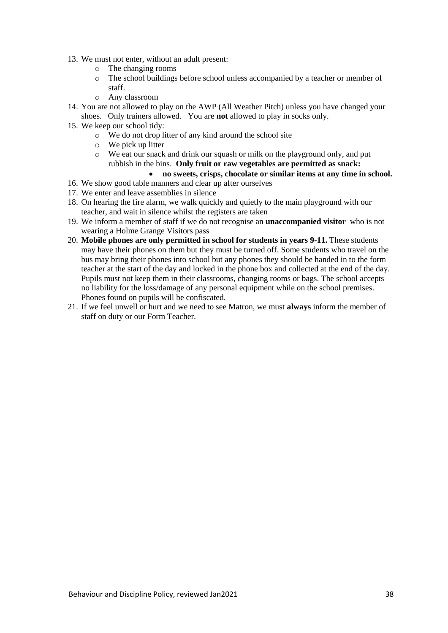- 13. We must not enter, without an adult present:
	- o The changing rooms
	- o The school buildings before school unless accompanied by a teacher or member of staff.
	- o Any classroom
- 14. You are not allowed to play on the AWP (All Weather Pitch) unless you have changed your shoes. Only trainers allowed. You are **not** allowed to play in socks only.
- 15. We keep our school tidy:
	- o We do not drop litter of any kind around the school site
	- o We pick up litter
	- o We eat our snack and drink our squash or milk on the playground only, and put rubbish in the bins. **Only fruit or raw vegetables are permitted as snack:**

### • **no sweets, crisps, chocolate or similar items at any time in school.**

- 16. We show good table manners and clear up after ourselves
- 17. We enter and leave assemblies in silence
- 18. On hearing the fire alarm, we walk quickly and quietly to the main playground with our teacher, and wait in silence whilst the registers are taken
- 19. We inform a member of staff if we do not recognise an **unaccompanied visitor** who is not wearing a Holme Grange Visitors pass
- 20. **Mobile phones are only permitted in school for students in years 9-11.** These students may have their phones on them but they must be turned off. Some students who travel on the bus may bring their phones into school but any phones they should be handed in to the form teacher at the start of the day and locked in the phone box and collected at the end of the day. Pupils must not keep them in their classrooms, changing rooms or bags. The school accepts no liability for the loss/damage of any personal equipment while on the school premises. Phones found on pupils will be confiscated.
- 21. If we feel unwell or hurt and we need to see Matron, we must **always** inform the member of staff on duty or our Form Teacher.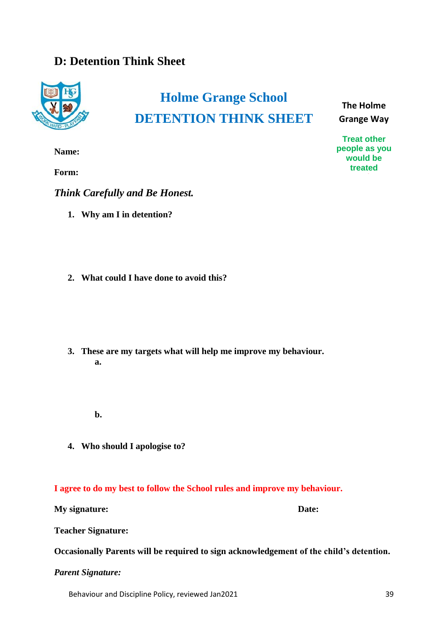## **D: Detention Think Sheet**



# **Holme Grange School DETENTION THINK SHEET**

**The Holme Grange Way**

**Treat other people as you would be treated**

**Name:**

**Form:**

*Think Carefully and Be Honest.*

- **1. Why am I in detention?**
- **2. What could I have done to avoid this?**
- **3. These are my targets what will help me improve my behaviour. a.**
	- **b.**
- **4. Who should I apologise to?**

## **I agree to do my best to follow the School rules and improve my behaviour.**

**My signature: Date:**

**Teacher Signature:**

**Occasionally Parents will be required to sign acknowledgement of the child's detention.**

*Parent Signature:*

Behaviour and Discipline Policy, reviewed Jan2021 39